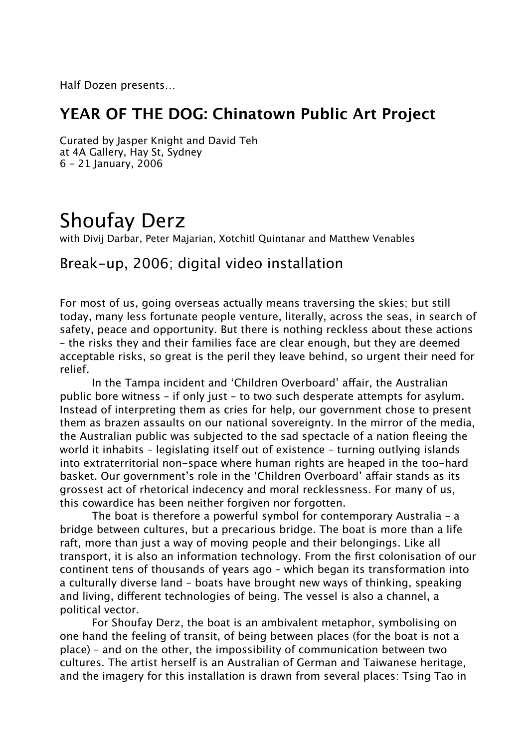Half Dozen presents…

## **YEAR OF THE DOG: Chinatown Public Art Project**

Curated by Jasper Knight and David Teh at 4A Gallery, Hay St, Sydney 6 – 21 January, 2006

# Shoufay Derz

with Divij Darbar, Peter Majarian, Xotchitl Quintanar and Matthew Venables

## Break-up, 2006; digital video installation

For most of us, going overseas actually means traversing the skies; but still today, many less fortunate people venture, literally, across the seas, in search of safety, peace and opportunity. But there is nothing reckless about these actions – the risks they and their families face are clear enough, but they are deemed acceptable risks, so great is the peril they leave behind, so urgent their need for relief.

In the Tampa incident and 'Children Overboard' affair, the Australian public bore witness – if only just – to two such desperate attempts for asylum. Instead of interpreting them as cries for help, our government chose to present them as brazen assaults on our national sovereignty. In the mirror of the media, the Australian public was subjected to the sad spectacle of a nation fleeing the world it inhabits – legislating itself out of existence – turning outlying islands into extraterritorial non-space where human rights are heaped in the too-hard basket. Our government's role in the 'Children Overboard' affair stands as its grossest act of rhetorical indecency and moral recklessness. For many of us, this cowardice has been neither forgiven nor forgotten.

The boat is therefore a powerful symbol for contemporary Australia – a bridge between cultures, but a precarious bridge. The boat is more than a life raft, more than just a way of moving people and their belongings. Like all transport, it is also an information technology. From the first colonisation of our continent tens of thousands of years ago – which began its transformation into a culturally diverse land – boats have brought new ways of thinking, speaking and living, different technologies of being. The vessel is also a channel, a political vector.

For Shoufay Derz, the boat is an ambivalent metaphor, symbolising on one hand the feeling of transit, of being between places (for the boat is not a place) – and on the other, the impossibility of communication between two cultures. The artist herself is an Australian of German and Taiwanese heritage, and the imagery for this installation is drawn from several places: Tsing Tao in